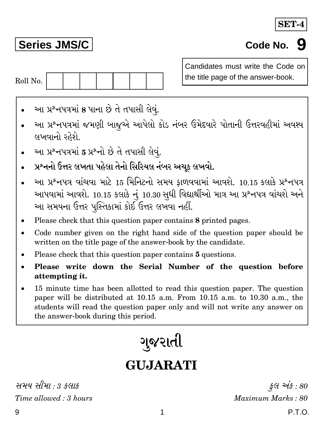## SET-

# **Series JMS/C**

# Code No. 9



Candidates must write the Code on the title page of the answer-book.

- આ પ્રશ્નપત્રમાં 8 પાના છે તે તપાસી લેવું.
- આ પ્રશ્નપત્રમાં જમણી બાજુએ આપેલો કોડ નંબર ઉમેદવારે પોતાની ઉત્તરવહીમાં અવશ્ય લખવાનો રહેશે
- આ પ્રશ્નપત્રમાં 5 પ્રશ્નો છે તે તપાસી લેવં.
- પ્રશ્નનો ઉત્તર લખતા પહેલા તેનો સિરિયલ નંબર અચૂક લખવો.
- આ પ્રશ્નપત્ર વાંચવા માટે 15 મિનિટનો સમય ફાળવવામાં આવશે. 10.15 કલાકે પ્રશ્નપત્ર આપવામાં આવશે. 10.15 કલાકે નું 10.30 સુધી વિદ્યાર્થીઓ માત્ર આ પ્રશ્નપત્ર વાંચશે અને આ સમયના ઉત્તર પુસ્તિકામાં કોઈ ઉત્તર લખવા નહીં.
- Please check that this question paper contains 8 printed pages.
- Code number given on the right hand side of the question paper should be written on the title page of the answer-book by the candidate.
- Please check that this question paper contains 5 questions.
- Please write down the Serial Number of the question before attempting it.
- 15 minute time has been allotted to read this question paper. The question paper will be distributed at 10.15 a.m. From 10.15 a.m. to 10.30 a.m., the students will read the question paper only and will not write any answer on the answer-book during this period.

ગુજરાતી

# **GUJARATI**

1

Time allowed :  $3 \text{ hours}$ 

કલ અંક : 80 Maximum Marks: 80

P.T.O.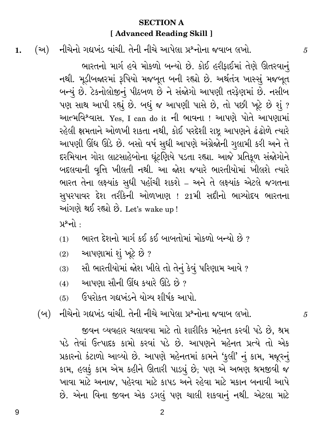### **SECTION A** [ Advanced Reading Skill ]

નીચેનો ગદ્યખંડ વાંચી. તેની નીચે આપેલા પ્રશ્નોના જવાબ લખો. (અ)  $1.$ 

> ભારતનો માર્ગ હવે મોકળો બન્યો છે. કોઈ હરીકાઈમાં તેણે ઊતરવાનં નથી. મૂડીબજારમાં રૂપિયો મજબૂત બની રહ્યો છે. અર્થતંત્ર ખાસ્સું મજબૂત બન્યું છે. ટેકનોલોજીનું પીઠબળ છે ને સંજોગો આપણી તરફેણમાં છે. નસીબ પણ સાથ આપી રહ્યું છે. બધું જ આપણી પાસે છે, તો પછી ખૂટે છે શું ? આત્મવિશ્વાસ. Yes, I can do it ની ભાવના ! આપણે પોતે આપણામાં રહેલી ક્ષમતાને ઓળખી શકતા નથી, કોઈ પરદેશી રાષ્ટ્ર આપણને ઢંઢોળે ત્યારે આપણી ઊંઘ ઊડે છે. બસો વર્ષ સુધી આપણે અંગ્રેજોની ગુલામી કરી અને તે દરમિયાન ગોરા લાટસાહેબોના ઘૂંટણિયે પડતા રહ્યા. આજે પ્રતિકૂળ સંજોગોને બદલવાની વૃત્તિ ખીલતી નથી. આ જોશ જયારે ભારતીયોમાં ખીલશે ત્યારે ભારત તેના લક્ષ્યાંક સુધી પહોંચી શકશે – અને તે લક્ષ્યાંક એટલે જગતના સુપરપાવર દેશ તરીકેની ઓળખાણ ! 21મી સદીનો ભાગ્યોદય ભારતના આંગણે થઈ રહ્યો છે. Let's wake up!

પ્રશ્નો :

- ભારત દેશનો માર્ગ કઈ કઈ બાબતોમાં મોકળો બન્યો છે ?  $(1)$
- આપણામાં શું ખૂટે છે ?  $(2)$
- સૌ ભારતીયોમાં જોશ ખીલે તો તેનું કેવું પરિણામ આવે ?  $(3)$
- આપણા સૌની ઊંઘ કયારે ઊડે છે ?  $(4)$
- ઉપરોકત ગદ્યખંડને યોગ્ય શીર્ષક આપો.  $(5)$

(બ) નીચેનો ગદ્યખંડ વાંચી. તેની નીચે આપેલા પ્રશ્નોના જવાબ લખો.

જીવન વ્યવહાર ચલાવવા માટે તો શારીરિક મહેનત કરવી પડે છે. શ્રમ પડે તેવાં ઉત્પાદક કામો કરવાં પડે છે. આપણને મહેનત પ્રત્યે તો એક પ્રકારનો કંટાળો આવ્યો છે. આપણે મહેનતમાં કામને 'કુલી' નું કામ, મજૂરનું કામ, હલકું કામ એમ કહીને ઊતારી પાડ્યું છે, પણ એ અભણ શ્રમજીવી જ ખાવા માટે અનાજ, પહેરવા માટે કાપડ અને રહેવા માટે મકાન બનાવી આપે છે. એના વિના જીવન એક ડગલું પણ ચાલી શકવાનું નથી. એટલા માટે

 $\overline{5}$ 

 $\overline{5}$ 

9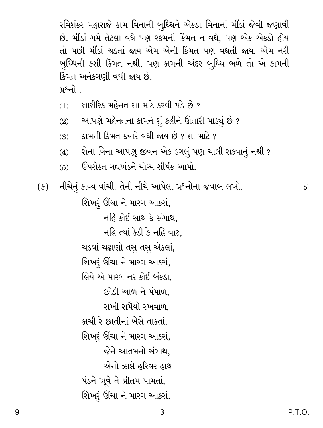રવિશંકર મહારાજે કામ વિનાની બુધ્ધિને એકડા વિનાનાં મીંડાં જેવી જણાવી છે. મીંડાં ગમે તેટલા વધે પણ રકમની કિંમત ન વધે. પણ એક એકડો હોય તો પછી મીંડાં ચડતાં જાય એમ એની કિંમત પણ વધતી જાય. એમ નરી બુધ્ધિની કશી કિંમત નથી, પણ કામની અંદર બુધ્ધિ ભળે તો એ કામની કિંમત અનેકગણી વધી જાય છે.

- <u>પ્રશ્નો :</u>
- શારીરિક મહેનત શા માટે કરવી પડે છે ?  $(1)$
- <sup>ં</sup> આપણે મહેનતના કામને શું કહીને ઊતારી પાડ્યું છે ?  $(2)$
- <u>કામની કિંમત કયારે વધી જાય છે ? શા માટે ?</u>  $(3)$
- શેના વિના આપણુ જીવન એક ડગલું પણ ચાલી શકવાનું નથી ?  $(4)$
- ઉપરોક્ત ગદ્યખંડને યોગ્ય શીર્ષક આપો.  $(5)$

નીચેનું કાવ્ય વાંચી. તેની નીચે આપેલા પ્રશ્નોના જવાબ લખો.  $(\mathfrak{s})$ 

> શિખરૂં ઊંચા ને મારગ આકરાં, નહિ કોઈ સાથ કે સંગાથ. નહિ ત્યાં કેડી કે નહિ વાટ. ચડવાં ચઢાણો તસુ તસુ એકલાં, શિખરં ઊંચા ને મારગ આકરાં, લિયે એ મારગ નર કોઈ બંકડા. છોડી આળ ને પંપાળ. રાખી રામૈયો રખવાળ. કાચી રે છાતીનાં બેસે તાકતાં. શિખરૂં ઊંચા ને મારગ આકરાં, જેને આતમનો સંગાથ. એનો ઝાલે હરિવર હાથ પંડને ખૂવે તે પ્રીતમ પામતાં, શિખરૂં ઊંચા ને મારગ આકરાં.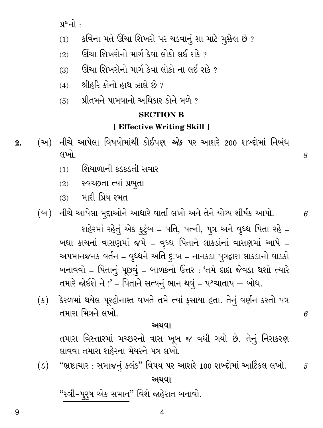$y^{\circ}$ નો :

- કવિના મતે ઊંચા શિખરો પર ચડવાનું શા માટે મુશ્કેલ છે ?  $(1)$
- ઊંચા શિખરોનો માર્ગ કેવા લોકો લઈ શકે ?  $(2)$
- ઊંચા શિખરોનો માર્ગ કેવા લોકો ના લઈ શકે ?  $(3)$
- શ્રીહરિ કોનો હાથ ઝાલે છે ?  $(4)$
- પ્રીતમને પામવાનો અધિકાર કોને મળે ?  $(5)$

#### **SECTION B**

#### [ Effective Writing Skill ]

8

6

6

5

- (અ) નીચે આપેલા વિષયોમાંથી કોઈપણ *એક* પર આશરે 200 શબ્દોમાં નિબંધ  $2.$ લખો.
	- શિયાળાની કડકડતી સવાર  $(1)$
	- (2) સ્વચ્છતા ત્યાં પ્રભુતા
	- $(3)$  મારી પ્રિય રમત
	- (બ) નીચે આપેલા મુદ્દાઓને આધારે વાર્તા લખો અને તેને યોગ્ય શીર્ષક આપો.

શહેરમાં રહેતું એક કુટુંબ – પતિ, પત્ની, પુત્ર અને વૃધ્ધ પિતા રહે – બધા કાચનાં વાસણમાં જમે - વૃધ્ધ પિતાને લાકડાંનાં વાસણમાં આપે -અપમાનજનક વર્તન – વૃધ્ધને અતિ દુઃખ – નાનકડા પુત્રદ્વારા લાકડાનો વાડકો બનાવવો - પિતાનું પૂછવું - બાળકનો ઉત્તર: 'તમે દાદા જેવડા થશો ત્યારે તમારે જોઈશે ને !' – પિતાને સત્યનું ભાન થવું – પશ્ચાતાપ – બોધ.

(ક) કેરળમાં થયેલ પૂરહોનાશ્ત વખતે તમે ત્યાં ફસાયા હતા. તેનું વર્ણન કરતો પત્ર તમારા મિત્રને લખો.

#### અથવા

તમારા વિસ્તારમાં મચ્છરનો ત્રાસ ખૂબ જ વધી ગયો છે. તેનું નિરાકરણ લાવવા તમારા શહેરના મેયરને પત્ર લખો.

"ભ્રષ્ટાચાર : સમાજનું કલંક" વિષય પર આશરે 100 શબ્દોમાં આર્ટિકલ લખો.  $(s)$ અથવા

"સ્ત્રી-પુરુષ એક સમાન" વિશે જાહેરાત બનાવો.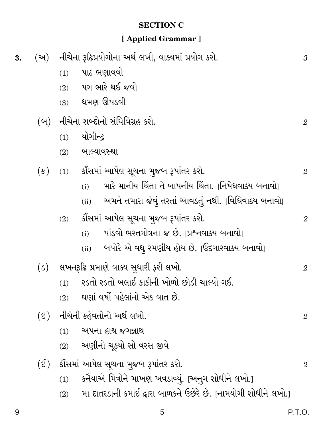## **SECTION C**

# [Applied Grammar]

| 3. |                  | (અ) નીચેના રૂઢિપ્રયોગોના અર્થ લખી, વાક્યમાં પ્રયોગ કરો. |                                                                |                |
|----|------------------|---------------------------------------------------------|----------------------------------------------------------------|----------------|
|    |                  | (1)                                                     | પાઠ ભણાવવો                                                     |                |
|    |                  |                                                         | $(2)$ પગ ભારે થઈ જવો                                           |                |
|    |                  | $(3)$ ધમણ ઊપડવી                                         |                                                                |                |
|    |                  | (બ) નીચેના શબ્દોનો સંધિવિગ્રહ કરો.                      |                                                                | $\mathfrak{2}$ |
|    |                  | યોગીન્દ્ર<br>(1)                                        |                                                                |                |
|    |                  | (2)                                                     | બાલ્યાવસ્થા                                                    |                |
|    | $(\mathfrak{s})$ |                                                         | (1) કૌંસમાં આપેલ સૂચના મુજબ રૂપાંતર કરો.                       | $\overline{2}$ |
|    |                  | (i)                                                     | મારે માનીય ચિંતા ને બાપનીય ચિંતા. [નિષેધવાક્ય બનાવો]           |                |
|    |                  | (ii)                                                    | અમને તમારા જેવું તરતાં આવડતું નથી. [વિધિવાક્ય બનાવો]           |                |
|    |                  | (2)                                                     | કૌંસમાં આપેલ સૂચના મુજબ રૂપાંતર કરો.                           | $\overline{2}$ |
|    |                  | (i)                                                     | પાંડવો ભરતગોત્રના જ છે.  પ્રશ્નવાક્ય બનાવો                     |                |
|    |                  | (ii)                                                    | ં બપોરે એ વધુ રમણીય હોય છે. [ઉદ્દગારવાક્ય બનાવો]               |                |
|    | (5)              | લખનરૂઢિ પ્રમાણે વાક્ય સુધારી ફરી લખો.                   |                                                                | $\overline{2}$ |
|    |                  | (1)                                                     | રડતો રડતો બલાઈ કાકીની ખોળો છોડી ચાલ્યો ગઈ.                     |                |
|    |                  | (2)                                                     | ઘણાં વર્ષો પહેલાંનો એક વાત છે.                                 |                |
|    | $(\delta)$       | નીચેની કહેવતોનો અર્થ લખો.                               |                                                                | $\overline{2}$ |
|    |                  | (1)                                                     | અપના હાથ જગન્નાથ                                               |                |
|    |                  | (2)                                                     | અણીનો ચૂક્યો સો વરસ જીવે                                       |                |
|    | $(\mathcal{S})$  | કૌંસમાં આપેલ સૂચના મુજબ રૂપાંતર કરો.                    |                                                                | $\overline{2}$ |
|    |                  | (1)                                                     | કનૈયાએ મિત્રોને માખણ ખવડાવ્યું. [અનુગ શોધીને લખો.]             |                |
|    |                  | (2)                                                     | મા દાતરડાની કમાઈ દ્વારા બાળકને ઉછેરે છે. [નામયોગી શોધીને લખો.] |                |

 $\sqrt{5}$ 

P.T.O.

 $\boldsymbol{9}$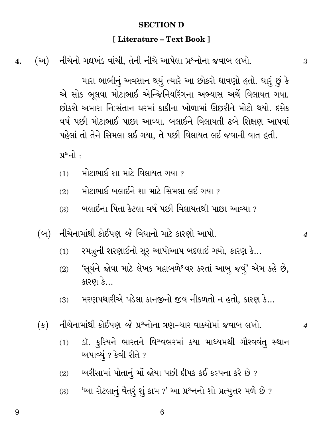#### **SECTION D**

#### [Literature - Text Book ]

(અ) નીચેનો ગદ્યખંડ વાંચી, તેની નીચે આપેલા પ્રશ્નોના જવાબ લખો.  $\overline{4}$ .

> મારા ભાભીનું અવસાન થયું ત્યારે આ છોકરો ધાવણો હતો. ધારું છું કે એ સોક ભૂલવા મોટાભાઈ એન્જિનિયરિંગના અભ્યાસ અર્થે વિલાયત ગયા. છોકરો અમારા નિઃસંતાન ઘરમાં કાકીના ખોળામાં ઊછરીને મોટો થયો. દસેક વર્ષ પછી મોટાભાઈ પાછા આવ્યા. બલાઈને વિલાયતી ઢબે શિક્ષણ આપવાં પહેલાં તો તેને સિમલા લઈ ગયા. તે પછી વિલાયત લઈ જવાની વાત હતી.

 $y^{\circ}$ નો :

- મોટાભાઈ શા માટે વિલાયત ગયા ?  $(1)$
- મોટાભાઈ બલાઈને શા માટે સિમલા લઈ ગયા ?  $(2)$
- ં બલાઈના પિતા કેટલા વર્ષ પછી વિલાયતથી પાછા આવ્યા ?  $(3)$
- (બ) નીચેનામાંથી કોઈપણ *બે* વિધાનો માટે કારણો આપો.
	- રમઝૂની શરણાઈનો સૂર આપોઆપ બદલાઈ ગયો, કારણ કે...  $(1)$
	- 'સૂર્યને જોવા માટે લેખક મહાબળેશ્વર કરતાં આબુ જવું' એમ કહે છે,  $(2)$ કારણ કે...
	- મરણપથારીએ પડેલા કાનજીનો જીવ નીકળતો ન હતો, કારણ કે...  $(3)$
- નીચેનામાંથી કોઈપણ *બે પ્ર*શ્નોના ત્રણ-ચાર વાક્યોમાં જવાબ લખો.  $(s)$ 
	- ડૉ. કુરિયને ભારતને વિશ્વભરમાં કયા માધ્યમથી ગૌરવવંતુ સ્થાન  $(1)$ અપાવ્યું ? કેવી રીતે ?
	- અરીસામાં પોતાનું મોં જોયા પછી દીપક કઈ કલ્પના કરે છે?  $(2)$
	- 'આ રોટલાનું વૈતરું શું કામ ?' આ પ્રશ્નનો શો પ્રત્યુત્તર મળે છે ?  $(3)$

 $\boldsymbol{\varLambda}$ 

 $\overline{4}$ 

9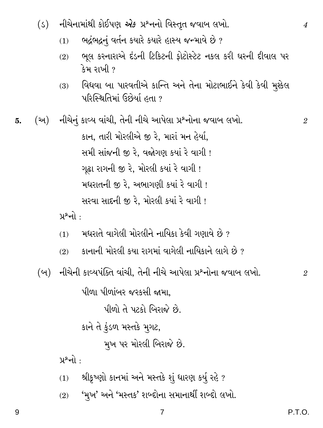- $(s)$ નીચેનામાંથી કોઈપણ *એક પ્ર*°નનો વિસ્તૃત જવાબ લખો.
	- ભદ્રંભદ્રનું વર્તન કયારે કયારે હાસ્ય જન્માવે છે?  $(1)$
	- ભૂલ કરનારાએ દંડની ટિકિટની ફોટોસ્ટેટ નકલ કરી ઘરની દીવાલ પર  $(2)$ કેમ રાખી ?
	- વિધવા બા પારવતીએ કાન્તિ અને તેના મોટાભાઈને કેવી કેવી મુશ્કેલ  $(3)$ પરિસ્થિતિમાં ઉછેર્યા હતા ?

<u>પ્રશ્નો :</u>

- મધરાતે વાગેલી મોરલીને નાયિકા કેવી ગણાવે છે ?  $(1)$
- કાનાની મોરલી કયા રાગમાં વાગેલી નાયિકાને લાગે છે ?  $(2)$
- (બ) નીચેની કાવ્યપંક્તિ વાંચી, તેની નીચે આપેલા પ્રશ્નોના જવાબ લખો.

પીળા પીળાંબર જરકસી જામા.

પીળો તે પટકો બિરાજે છે.

કાને તે ફુંડળ મસ્તકે મુગટ,

મુખ પર મોરલી બિરાજે છે.

 $y^{\circ}$ નો :

- શ્રીકૃષ્ણો કાનમાં અને મસ્તકે શું ધારણ કર્યુ રહે ?  $(1)$
- 'મુખ' અને 'મસ્તક' શબ્દોના સમાનાર્થી શબ્દો લખો.  $(2)$

 $\overline{4}$ 

 $\overline{2}$ 

 $\mathfrak{D}$